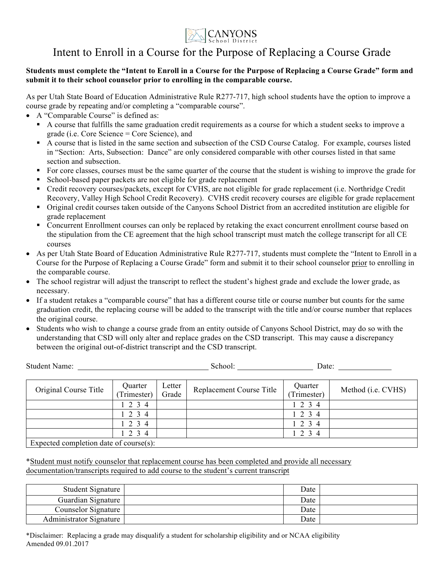

## Intent to Enroll in a Course for the Purpose of Replacing a Course Grade

## **Students must complete the "Intent to Enroll in a Course for the Purpose of Replacing a Course Grade" form and submit it to their school counselor prior to enrolling in the comparable course.**

As per Utah State Board of Education Administrative Rule R277-717, high school students have the option to improve a course grade by repeating and/or completing a "comparable course".

- A "Comparable Course" is defined as:
	- § A course that fulfills the same graduation credit requirements as a course for which a student seeks to improve a grade (i.e. Core Science = Core Science), and
	- § A course that is listed in the same section and subsection of the CSD Course Catalog. For example, courses listed in "Section: Arts, Subsection: Dance" are only considered comparable with other courses listed in that same section and subsection.
	- § For core classes, courses must be the same quarter of the course that the student is wishing to improve the grade for
	- § School-based paper packets are not eligible for grade replacement
	- Credit recovery courses/packets, except for CVHS, are not eligible for grade replacement (i.e. Northridge Credit Recovery, Valley High School Credit Recovery). CVHS credit recovery courses are eligible for grade replacement
	- § Original credit courses taken outside of the Canyons School District from an accredited institution are eligible for grade replacement
	- Concurrent Enrollment courses can only be replaced by retaking the exact concurrent enrollment course based on the stipulation from the CE agreement that the high school transcript must match the college transcript for all CE courses
- As per Utah State Board of Education Administrative Rule R277-717, students must complete the "Intent to Enroll in a Course for the Purpose of Replacing a Course Grade" form and submit it to their school counselor prior to enrolling in the comparable course.
- The school registrar will adjust the transcript to reflect the student's highest grade and exclude the lower grade, as necessary.
- If a student retakes a "comparable course" that has a different course title or course number but counts for the same graduation credit, the replacing course will be added to the transcript with the title and/or course number that replaces the original course.
- Students who wish to change a course grade from an entity outside of Canyons School District, may do so with the understanding that CSD will only alter and replace grades on the CSD transcript. This may cause a discrepancy between the original out-of-district transcript and the CSD transcript.

| <b>Student Name:</b>                       |                        |                 | School:                  | Date:                 |                            |
|--------------------------------------------|------------------------|-----------------|--------------------------|-----------------------|----------------------------|
| Original Course Title                      | Quarter<br>(Trimester) | Letter<br>Grade | Replacement Course Title | Quarter<br>Trimester) | Method ( <i>i.e.</i> CVHS) |
|                                            | 234                    |                 |                          | 1234                  |                            |
|                                            | 1 2 3 4                |                 |                          | $1\ 2\ 3\ 4$          |                            |
|                                            | 2 3 4                  |                 |                          | 1 2 3 4               |                            |
|                                            | 1 2 3 4                |                 |                          | 1234                  |                            |
| Expected completion date of course $(s)$ . |                        |                 |                          |                       |                            |

Expected completion date of course(s):

\*Student must notify counselor that replacement course has been completed and provide all necessary documentation/transcripts required to add course to the student's current transcript

| Student Signature       | Date |  |
|-------------------------|------|--|
| Guardian Signature      | Date |  |
| Counselor Signature     | Date |  |
| Administrator Signature | Date |  |

\*Disclaimer: Replacing a grade may disqualify a student for scholarship eligibility and or NCAA eligibility Amended 09.01.2017